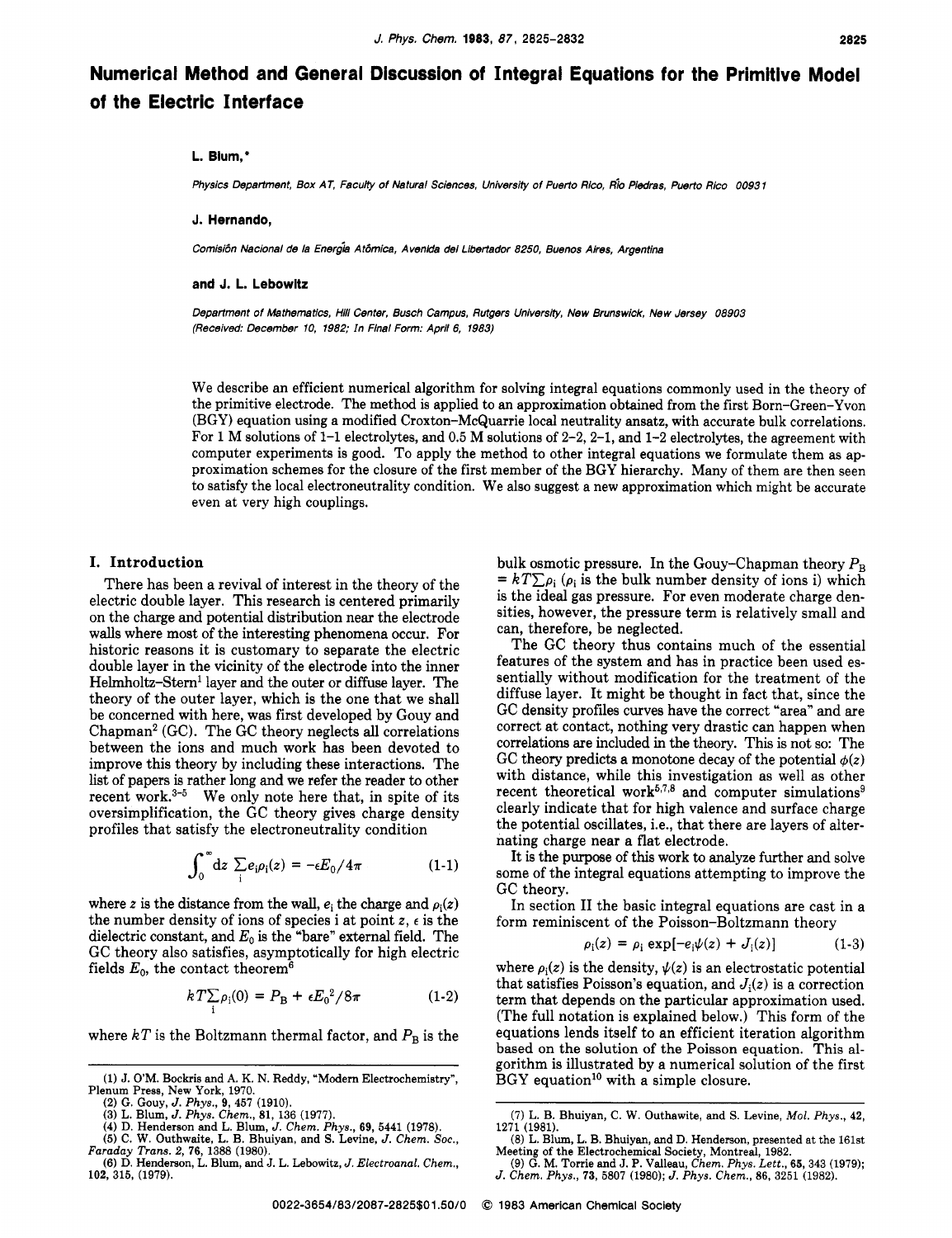# **Numerical Method and General Discussion of Integral Equations for the Primitive Model of the Electric Interface**

## **L. Blum,\***

*Physics Department, Box AT, Faculty of Natural Sciences, University of Puerto Rico, Rb Piedras. Puerto Rico 0093* **<sup>7</sup>**

#### **J. Hernando,**

*Comisbn Nacionai de la Ener& At6mica, Avenlda* **del** *Libertador 8250, Buenos Aires. Argentina* 

#### **and J. L. Lebowitz**

*Department of Mathematics, Hiii Center, Busch Campus, Rutgers University, New Brunswick, New Jersey 08903 (Received: December 10, 1982; In Final Form: April 6, 1983)* 

We describe an efficient numerical algorithm for solving integral equations commonly used in the theory of the primitive electrode. The method is applied to an approximation obtained from the first Born-Green-Yvon (BGY) equation using a modified Croxton-McQuarrie local neutrality ansatz, with accurate bulk correlations. For 1 M solutions of  $1$ -1 electrolytes, and 0.5 M solutions of  $2-2$ ,  $2-1$ , and  $1-2$  electrolytes, the agreement with computer experiments is good. To apply the method to other integral equations we formulate them as approximation schemes for the closure of the first member of the BGY hierarchy. Many of them are then seen to satisfy the local electroneutrality condition. We also suggest a new approximation which might be accurate even at very high couplings.

## **I. Introduction**

There has been a revival of interest in the theory of the electric double layer. This research is centered primarily on the charge and potential distribution near the electrode walls where most of the interesting phenomena occur. For historic reasons it is customary to separate the electric double layer in the vicinity of the electrode into the inner Helmholtz-Stern<sup>1</sup> layer and the outer or diffuse layer. The theory of the outer layer, which is the one that we shall be concerned with here, was first developed by Gouy and Chapman2 (GC). The GC theory neglects all correlations between the ions and much work has been devoted to improve this theory by including these interactions. The list of papers is rather long and we refer the reader to other recent work. $3-5$  We only note here that, in spite of its oversimplification, the GC theory gives charge density profiles that satisfy the electroneutrality condition

$$
\int_0^\infty dz \sum_i e_i \rho_i(z) = -\epsilon E_0 / 4\pi \qquad (1-1)
$$

where *z* is the distance from the wall,  $e_i$  the charge and  $\rho_i(z)$ the number density of ions of species i at point  $z$ ,  $\epsilon$  is the dielectric constant, and  $E_0$  is the "bare" external field. The GC theory also satisfies, asymptotically for high electric fields  $E_0$ , the contact theorem<sup>6</sup>

$$
kT \sum_{i} \rho_{i}(0) = P_{B} + \epsilon E_{0}^{2} / 8\pi
$$
 (1-2)

where  $kT$  is the Boltzmann thermal factor, and  $P_B$  is the

bulk osmotic pressure. In the Gouy-Chapman theory  $P_B = kT \sum \rho_i (\rho_i$  is the bulk number density of ions i) which is the ideal gas pressure. For even moderate charge densities, however, the pressure term is relatively small and can, therefore, be neglected.

The GC theory thus contains much of the essential features of the system and has in practice been used essentially without modification for the treatment of the diffuse layer. It might be thought in fact that, since the GC density profiles curves have the correct "area" and are correct at contact, nothing very drastic can happen when correlations are included in the theory. This is not so: The GC theory predicts a monotone decay of the potential  $\phi(z)$ with distance, while this investigation as well as other recent theoretical work<sup>5,7,8</sup> and computer simulations<sup>9</sup> clearly indicate that for high valence and surface charge the potential oscillates, i.e., that there are layers of alternating charge near a flat electrode.

It is the purpose of this work to analyze further and solve some of the integral equations attempting to improve the GC theory.

In section I1 the basic integral equations are cast in a form reminiscent of the Poisson-Boltzmann theory

$$
\rho_{i}(z) = \rho_{i} \exp[-e_{i}\psi(z) + J_{i}(z)] \qquad (1-3)
$$

where  $\rho_i(z)$  is the density,  $\psi(z)$  is an electrostatic potential that satisfies Poisson's equation, and  $J_i(z)$  is a correction term that depends on the particular approximation used. (The full notation is explained below.) This form of the equations lends itself to an efficient iteration algorithm based on the solution **of** the Poisson equation. This algorithm is illustrated by a numerical solution of the first BGY equation<sup>10</sup> with a simple closure.

**<sup>(1)</sup> J.** O'M. Bockris and A. K. N. Reddy, "Modem Electrochemistry",

Plenum Press, New **York, 1970.** 

**<sup>(2)</sup>** G. Gouy, *J. Phys.,* **9,457 (1910).**  *(3)* L. Blum, J. *Phys. Chem.,* **81, 136 (1977). (4) D.** Henderson and L. Blum, J. *Chem. Phys.,* **69, 5441 (1978).** 

**<sup>(5)</sup> C. W.** Outhwaite, L. B. Bhuiyan, and S. Levine, *J.* Chem. *SOC., Faraday Trans. 2,* **76, 1388 (1980).** 

<sup>(6)</sup> D. Henderson, L. Blum, and J. L. Lebowitz, *J. Electroanal.* Chem., **102, 315, (1979).** 

**<sup>(7)</sup>** L. B. Bhuiyan, C. W. Outhawite, and S. Levine, Mol. *Phys.,* **42, 1271 (1981).** 

**<sup>(8)</sup>** L. Blum, L. B. Bhuiyan, and D. Henderson, presented at the **161st**  Meeting **of** the Electrochemical Society, Montreal, **1982.** 

**<sup>(9)</sup>** G. M. Torrie and J. P. Valleau, Chem. *Phys. Lett.,* **65, 343 (1979);**  *J.* Chem. *Phys.,* **73, 5807 (1980);** *J. Phys. Chem.,* **86, 3251 (1982).**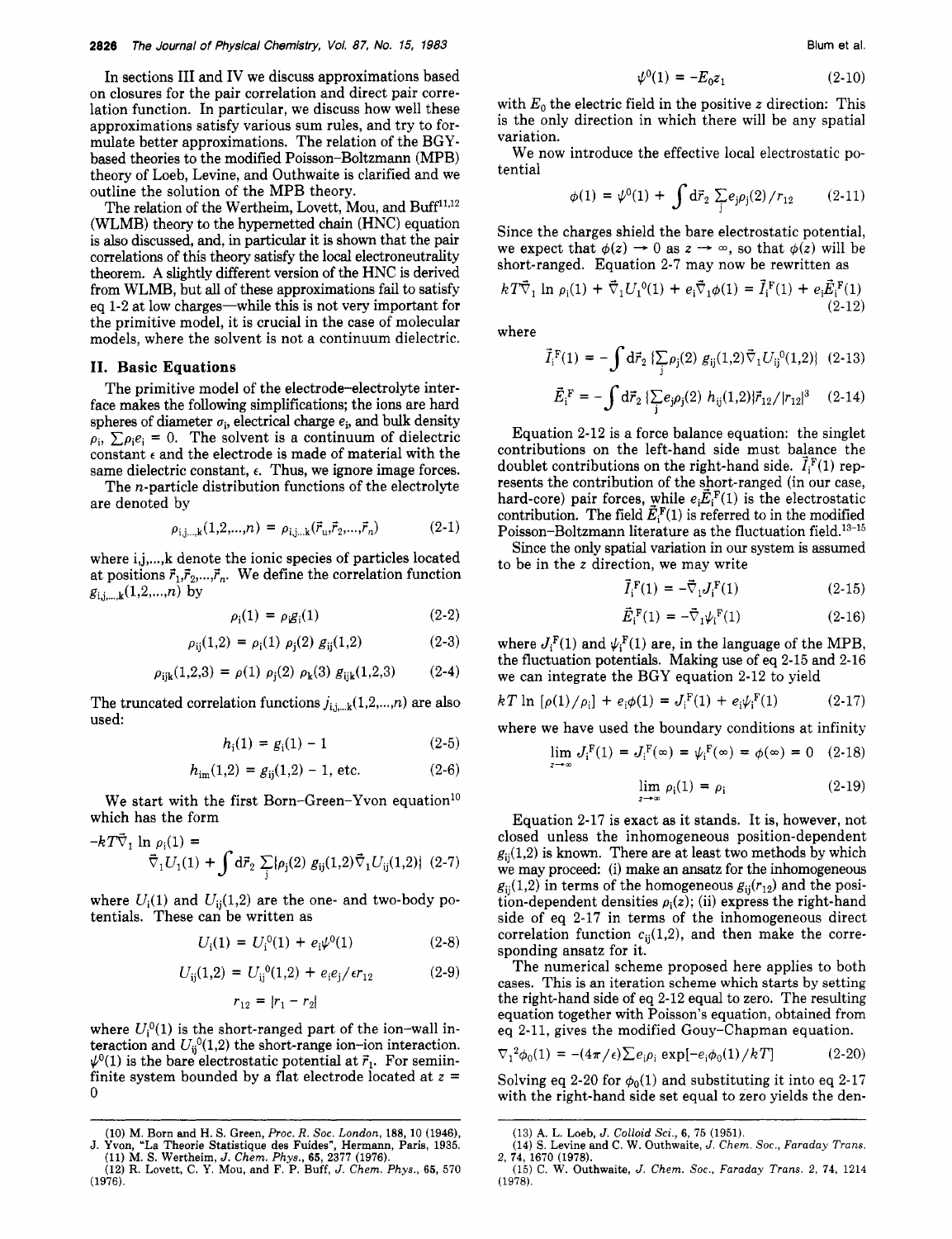In sections **I11** and IV we discuss approximations based on closures for the pair correlation and direct pair correlation function. In particular, we discuss how well these approximations satisfy various sum rules, and try to formulate better approximations. The relation of the BGYbased theories to the modified Poisson-Boltzmann (MPB) theory of Loeb, Levine, and Outhwaite is clarified and we outline the solution of the MPB theory.

The relation of the Wertheim, Lovett, Mou, and Buff<sup>11,12</sup> (WLMB) theory to the hypernetted chain (HNC) equation is **also** discussed, and, in particular it is shown that the pair correlations of this theory satisfy the local eledroneutrality theorem. **A** slightly different version of the HNC is derived from WLMB, but **all** of these approximations fail to satisfy eq 1-2 at low charges—while this is not very important for the primitive model, it is crucial in the case of molecular models, where the solvent is not a continuum dielectric.

## **11. Basic Equations**

The primitive model of the electrode-electrolyte interface makes the following simplifications; the ions are hard spheres of diameter  $\sigma_i$ , electrical charge  $e_i$ , and bulk density  $p_i$ ,  $\sum p_i e_i = 0$ . The solvent is a continuum of dielectric constant  $\epsilon$  and the electrode is made of material with the same dielectric constant,  $\epsilon$ . Thus, we ignore image forces.

The n-particle distribution functions of the electrolyte are denoted by

$$
\rho_{i,j...k}(1,2,...,n) = \rho_{i,j...k}(\vec{r}_{u},\vec{r}_{2},...,\vec{r}_{n})
$$
\n(2-1)

where i,j,...,k denote the ionic species of particles located at positions  $\vec{r}_1, \vec{r}_2, \dots, \vec{r}_n$ . We define the correlation function  $g_{i,j,...,k} (1,2,...,n)$  by

$$
\rho_i(1) = \rho_i g_i(1) \tag{2-2}
$$

$$
\rho_{ij}(1,2) = \rho_i(1) \rho_j(2) g_{ij}(1,2) \qquad (2-3)
$$

$$
\rho_{ijk}(1,2,3) = \rho(1) \rho_j(2) \rho_k(3) g_{ijk}(1,2,3) \qquad (2-4)
$$

The truncated correlation functions  $j_{i,j,...,k}(1,2,...,n)$  are also used:

$$
h_i(1) = g_i(1) - 1 \tag{2-5}
$$

$$
h_{\rm im}(1,2) = g_{\rm ij}(1,2) - 1, \,\text{etc.} \tag{2-6}
$$

We start with the first Born-Green-Yvon equation<sup>10</sup> which has the form

$$
-kT\vec{\nabla}_1 \ln \rho_i(1) =
$$
  
 
$$
\vec{\nabla}_1 U_1(1) + \int d\vec{r}_2 \sum_j \{ \rho_j(2) g_{ij}(1,2) \vec{\nabla}_1 U_{ij}(1,2) \} (2-7)
$$

where  $U_i(1)$  and  $U_{ii}(1,2)$  are the one- and two-body potentials. These can be written as

$$
U_{i}(1) = U_{i}^{0}(1) + e_{i}\psi^{0}(1)
$$
 (2-8)

$$
U_{ij}(1,2) = U_{ij}^{0}(1,2) + e_i e_j / \epsilon r_{12}
$$
 (2-9)

$$
r_{12} = |r_1 - r_2|
$$

where  $U_i^0(1)$  is the short-ranged part of the ion-wall interaction and  $U_{ii}^0(1,2)$  the short-range ion-ion interaction.  $\psi^0(1)$  is the bare electrostatic potential at  $\vec{r}_1$ . For semiinfinite system bounded by a flat electrode located at *z* =  $\Omega$ 

$$
\psi^0(1) = -E_0 z_1 \tag{2-10}
$$

with  $E_0$  the electric field in the positive *z* direction: This is the only direction in which there will be any spatial variation.

We now introduce the effective local electrostatic potential

$$
\phi(1) = \psi^0(1) + \int d\vec{r}_2 \sum_j e_j \rho_j(2) / r_{12} \qquad (2-11)
$$

Since the charges shield the bare electrostatic potential, we expect that  $\phi(z) \rightarrow 0$  as  $z \rightarrow \infty$ , so that  $\phi(z)$  will be short-ranged. Equation 2-7 may now be rewritten as

$$
kT\vec{\nabla}_1 \ln \rho_i(1) + \vec{\nabla}_1 U_1^0(1) + e_i \vec{\nabla}_1 \phi(1) = \vec{I}_i^{\,F}(1) + e_i \vec{E}_i^{\,F}(1)
$$
\n(2-12)

where

$$
\vec{I}_{i}^{F}(1) = -\int d\vec{r}_{2} \left\{ \sum_{j} \rho_{j}(2) g_{ij}(1,2) \vec{\nabla}_{1} U_{ij}^{0}(1,2) \right\} (2-13)
$$

$$
\vec{E}_{\rm i}^{\ \rm F} = -\int {\rm d}\vec{r}_2 \, \{ \sum_{\rm j} e_{\rm j} \rho_{\rm j}(2) \ h_{\rm ij}(1,2) \} \vec{r}_{12} / |r_{12}|^3 \quad \ \, (2\text{-}14)
$$

Equation 2-12 is a force balance equation: the singlet contributions on the left-hand side must balance the doublet contributions on the right-hand side.  $I_i^F(1)$  represents the contribution of the short-ranged (in our case, hard-core) pair forces, while  $e_i\vec{E}_i^{\text{F}}(1)$  is the electrostatic contribution. The field  $\vec{E}_{i}^{F}(1)$  is referred to in the modified Poisson-Boltzmann literature as the fluctuation field.13-15

Since the only spatial variation in our system is assumed to be in the *z* direction, we may write

$$
\vec{I}_{i}^{F}(1) = -\vec{\nabla}_{1}J_{i}^{F}(1)
$$
 (2-15)

$$
\vec{E}_{i}^{F}(1) = -\vec{\nabla}_{1} \psi_{i}^{F}(1)
$$
 (2-16)

where  $J_i^F(1)$  and  $\psi_i^F(1)$  are, in the language of the MPB, the fluctuation potentials. Making use of eq 2-15 and 2-16 we can integrate the BGY equation 2-12 to yield

$$
kT \ln \left[ \rho(1) / \rho_i \right] + e_i \phi(1) = J_i^{\text{F}}(1) + e_i \psi_i^{\text{F}}(1) \tag{2-17}
$$

where we have used the boundary conditions at infinity

$$
\lim_{z \to \infty} J_i^{\{F\}}(1) = J_i^{\{F\}}(\infty) = \psi_i^{\{F\}}(\infty) = \phi(\infty) = 0 \quad (2-18)
$$

$$
\lim_{z \to \infty} \rho_i(1) = \rho_i \tag{2-19}
$$

Equation 2-17 is exact as it stands. It is, however, not closed unless the inhomogeneous position-dependent  $g_{ii}(1,2)$  is known. There are at least two methods by which we may proceed: (i) make an ansatz for the inhomogeneous  $g_{ii}(1,2)$  in terms of the homogeneous  $g_{ii}(r_{12})$  and the position-dependent densities  $\rho_i(z)$ ; (ii) express the right-hand side of eq 2-17 in terms of the inhomogeneous direct correlation function  $c_{ij}(1,2)$ , and then make the corresponding ansatz for it.

The numerical scheme proposed here applies to both cases. This is an iteration scheme which starts **by** setting the right-hand side of eq 2-12 equal to zero. The resulting equation together with Poisson's equation, obtained from eq 2-11, gives the modified Gouy-Chapman equation.

$$
\nabla_1^2 \phi_0(1) = -(4\pi/\epsilon) \sum e_i \rho_i \exp[-e_i \phi_0(1)/k] \tag{2-20}
$$

Solving eq 2-20 for  $\phi_0(1)$  and substituting it into eq 2-17 with the right-hand side set equal to zero yields the den-

**<sup>(</sup>IO)** M. Born and H. S. Green, *Proc. R. SOC. London,* **188,** 10 (1946), J. Yvon, "La Theorie Statistique des Fuides", Hermann, Paris, 1935.<br>
(11) M. S. Wertheim, J. Chem. Phys., 65, 2377 (1976).<br>
(12) R. Lovett, C. Y. Mou, and F. P. Buff, J. Chem. Phys., 65, 570

<sup>(1976).</sup> 

<sup>(13)</sup> A. L. Loeb, J. *Colloid Sci.,* **6,** 75 (1951).

**<sup>(14)</sup>** s. Levine and c. w. Outhwaite, *J. Chem.* soc., *Faraday Trans.*  2, **74,** 1670 (1978).

<sup>(15)</sup> *C.* W. Outhwaite, *J.* Chem. *Soc., Faraday Trans. 2,* 74, 1214 (1978).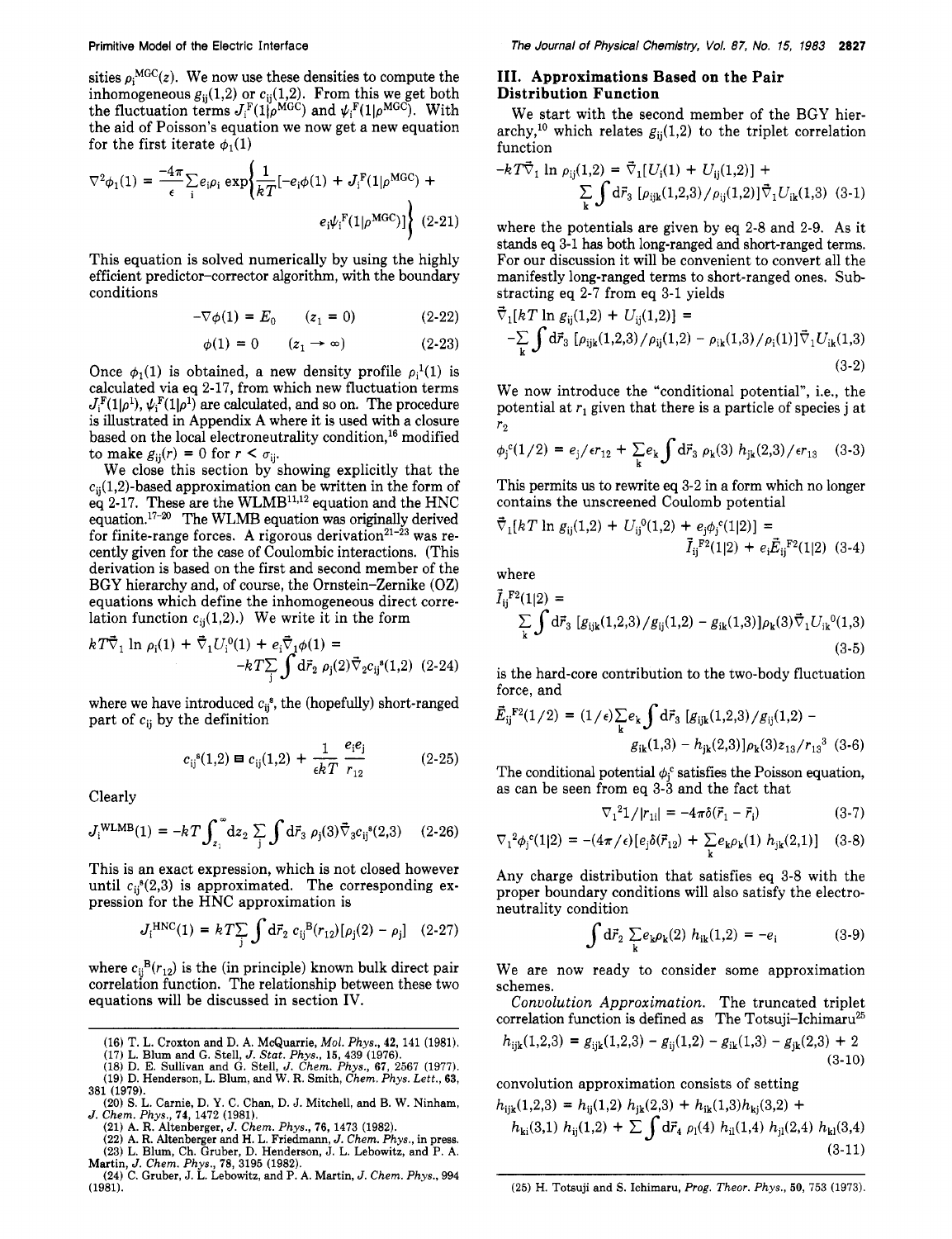sities  $\rho_i^{MGC}(z)$ . We now use these densities to compute the inhomogeneous  $g_{ij}(1,2)$  or  $c_{ij}(1,2)$ . From this we get both the fluctuation terms  $J_i^{\text{F}}(1|\rho^{\text{MGC}})$  and  $\psi_i^{\text{F}}(1|\rho^{\text{MGC}})$ . With the aid of Poisson's equation we now get a new equation for the first iterate  $\phi_1(1)$ 

$$
\nabla^2 \phi_1(1) = \frac{-4\pi}{\epsilon} \sum_i e_i \rho_i \exp\left\{\frac{1}{kT} \left[-e_i \phi(1) + J_i^{\text{F}}(1|\rho^{\text{MGC}}) + \right.\right.
$$

$$
e_i \psi_i^{\text{F}}(1|\rho^{\text{MGC}}) \right\} \tag{2-21}
$$

This equation is solved numerically by using the highly efficient predictor-corrector algorithm, with the boundary conditions

$$
-\nabla \phi(1) = E_0 \qquad (z_1 = 0) \tag{2-22}
$$

$$
\phi(1) = 0 \qquad (z_1 \to \infty) \tag{2-23}
$$

Once  $\phi_1(1)$  is obtained, a new density profile  $\rho_1(1)$  is calculated via eq **2-17,** from which new fluctuation terms  $J_i^{\text{F}}(1|\rho^1), \psi_i^{\text{F}}(1|\rho^1)$  are calculated, and so on. The procedure is illustrated in Appendix A where it is used with a closure based on the local electroneutrality condition,  $^{16}$  modified to make  $g_{ij}(r) = 0$  for  $r < \sigma_{ij}$ .

We close this section by showing explicitly that the  $c_{ii}(1,2)$ -based approximation can be written in the form of eq 2-17. These are the WLMB<sup>11,12</sup> equation and the HNC equation.<sup>17-20</sup> The WLMB equation was originally derived for finite-range forces. A rigorous derivation<sup>21-23</sup> was recently given for the case of Coulombic interactions. (This derivation is based on the first and second member of the BGY hierarchy and, of course, the Ornstein-Zernike (OZ) equations which define the inhomogeneous direct correlation function  $c_{ii}(1,2)$ .) We write it in the form

$$
kT\vec{\nabla}_1 \ln \rho_i(1) + \vec{\nabla}_1 U_i^0(1) + e_i \vec{\nabla}_1 \phi(1) = -kT \sum_j \int d\vec{r}_2 \rho_j(2) \vec{\nabla}_2 c_{ij}^s(1,2) \quad (2-24)
$$

where we have introduced  $c_{ij}^s$ , the (hopefully) short-ranged part of  $c_{ij}$  by the definition<br>  $c_{ij}^s(1,2) = c_{ij}(1,2) + \frac{1}{\epsilon kT} \frac{e_i e_j}{r_{12}}$  (2-25) part of  $c_{ii}$  by the definition

$$
c_{ij}^{s}(1,2) = c_{ij}(1,2) + \frac{1}{\epsilon kT} \frac{e_i e_j}{r_{12}} \tag{2-25}
$$

Clearly

$$
J_{i}^{\text{WLMB}}(1) = -kT \int_{z_{1}}^{\infty} dz_{2} \sum_{j} \int d\vec{r}_{3} \; \rho_{j}(3) \vec{\nabla}_{3} c_{ij}^{s}(2,3) \quad (2-26)
$$

This is an exact expression, which is not closed however until  $c_{ii}^{s}(2,3)$  is approximated. The corresponding expression for the HNC approximation is

$$
J_i^{\text{HNC}}(1) = kT \sum_{j} \int d\vec{r}_2 \ c_{ij}^{\text{B}}(r_{12}) [\rho_j(2) - \rho_j] \quad (2-27)
$$

where  $c_{ij}^B(r_{12})$  is the (in principle) known bulk direct pair correlation function. The relationship between these two equations will be discussed in section IV.

- (16) **T. L. Croxton and D. A. McQuarrie, Mol.** *Phys.,* **42,** 141 (1981).
- 
- (17) L. Blum and G. Stell, J. Stat. Phys., 15, 439 (1976).<br>(18) D. E. Sullivan and G. Stell, J. Chem. Phys., 67, 2567 (1977).<br>(19) D. Henderson, L. Blum, and W. R. Smith, Chem. Phys. Lett., 63,
- 381 (1979).
- (20) S. **L. Carnie, D. Y. C. Chan, D. J. Mitchell, and B. W. Ninham,**  *J. Chem. Phys.,* **74,** 1472 (1981).
	- (21) **A. R. Altenberger,** *J. Chem. Phys.,* **76,** 1473 (1982).

(22) A. R. Altenberger and H. L. Friedmann, *J. Chem. Phys.*, in press. **(23) L. Blum, Ch. Gruber, D. Henderson, J. L. Lebowitz, and P. A. Martin,** *J. Chem. Phys.,* **78,** 3195 (1982).

(24) **C. Gruber, J. L. Lebowitz, and P. A. Martin,** *J. Chem. Phys.,* 994 (1981).

# **111. Approximations Based on the Pair Distribution Function**

We start with the second member of the BGY hierarchy,<sup>10</sup> which relates  $g_{ii}(1,2)$  to the triplet correlation function

$$
-kT\vec{\nabla}_{1}\ln\rho_{ij}(1,2) = \vec{\nabla}_{1}[U_{i}(1) + U_{ij}(1,2)] +
$$
  

$$
\sum_{\mathbf{k}} \int d\vec{r}_{3} [\rho_{ijk}(1,2,3)/\rho_{ij}(1,2)] \vec{\nabla}_{1} U_{ik}(1,3)
$$
 (3-1)

where the potentials are given by eq **2-8** and **2-9.** As it stands eq **3-1** has both long-ranged and short-ranged terms. For our discussion it will be convenient to convert all the manifestly long-ranged terms to short-ranged ones. Substracting eq 2-7 from eq 3-1 yields<br> $\vec{\tau}$   $(kT)_{k=0}$  (1.2)  $+$  *M* (1.2)<sup>2</sup>

$$
\vec{\nabla}_{1}[kT \ln g_{ij}(1,2) + U_{ij}(1,2)] =
$$
  
-
$$
\sum_{k} \int d\vec{r}_{3} [\rho_{ijk}(1,2,3) / \rho_{ij}(1,2) - \rho_{ik}(1,3) / \rho_{i}(1)] \vec{\nabla}_{1} U_{ik}(1,3)
$$
  
(3-2)

We now introduce the "conditional potential", i.e., the potential at  $r_1$  given that there is a particle of species j at *7-2* 

$$
\phi_{j}^{c}(1/2) = e_{j}/\epsilon r_{12} + \sum_{k} e_{k} \int d\vec{r}_{3} \rho_{k}(3) h_{jk}(2,3)/\epsilon r_{13} \quad (3-3)
$$

This permits **us** to rewrite eq **3-2** in a form which no longer contains the unscreened Coulomb potential

$$
\vec{\nabla}_{1}[kT \ln g_{ij}(1,2) + U_{ij}^{0}(1,2) + e_{j}\phi_{j}^{c}(1|2)] =
$$
  

$$
\vec{I}_{ij}^{F2}(1|2) + e_{i}\vec{E}_{ij}^{F2}(1|2) \quad (3-4)
$$

where

$$
\tilde{I}_{ij}^{\text{F2}}(1|2) = \sum_{k} \int d\vec{r}_3 \left[ g_{ijk}(1,2,3) / g_{ij}(1,2) - g_{ik}(1,3) \right] \rho_k(3) \vec{\nabla}_1 U_{ik}^0(1,3)
$$
\n(3-5)

is the hard-core contribution to the two-body fluctuation force, and

$$
\vec{E}_{ij}^{\ \ F2}(1/2) = (1/\epsilon) \sum_{k} e_k \int d\vec{r}_3 \ [g_{ijk}(1,2,3)/g_{ij}(1,2) - g_{ik}(1,3) - h_{jk}(2,3)] \rho_k(3) z_{13}/r_{13}^3 \ (3-6)
$$

The conditional potential  $\phi_i^c$  satisfies the Poisson equation, as can be seen from eq 3-3 and the fact that

$$
\nabla_1^2 1 / |r_{1i}| = -4\pi \delta(\vec{r}_1 - \vec{r}_i)
$$
 (3-7)

$$
\nabla_1^2 \phi_j^c(1|2) = -(4\pi/\epsilon) \left[ e_j \delta(\vec{r}_{12}) + \sum_k e_k \rho_k(1) h_{jk}(2,1) \right] \quad (3-8)
$$

Any charge distribution that satisfies eq **3-8** with the proper boundary conditions will also satisfy the electroneutrality condition

$$
\int d\vec{r}_2 \sum_{\mathbf{k}} e_{\mathbf{k}} \rho_{\mathbf{k}}(2) h_{i\mathbf{k}}(1,2) = -e_i \tag{3-9}
$$

We are now ready to consider some approximation schemes.

Convolution Approximation. The truncated triplet correlation function is defined as The Totsuji-Ichimaru<sup>25</sup>  $h_{ijk}(1,2,3) = g_{ijk}(1,2,3) - g_{ij}(1,2) - g_{ik}(1,3) - g_{ik}(2,3) + 2$  $(3-10)$ 

convolution approximation consists of setting  $h_{11}(1\ 2\ 3) = h_{11}(1\ 2) \ h_{11}(2\ 3) + h_{11}(1\ 3)h_{11}(3\ 2) +$ 

$$
h_{ki}(3,1) h_{ij}(1,2) + \sum \int d\vec{r}_4 \, \rho_l(4) \, h_{il}(1,4) \, h_{jl}(2,4) \, h_{kl}(3,4) \tag{3-11}
$$

(25) **H. Totsuji and** *S.* **Ichimaru,** *Prog. Theor. Phys.,* 50, 753 (1973).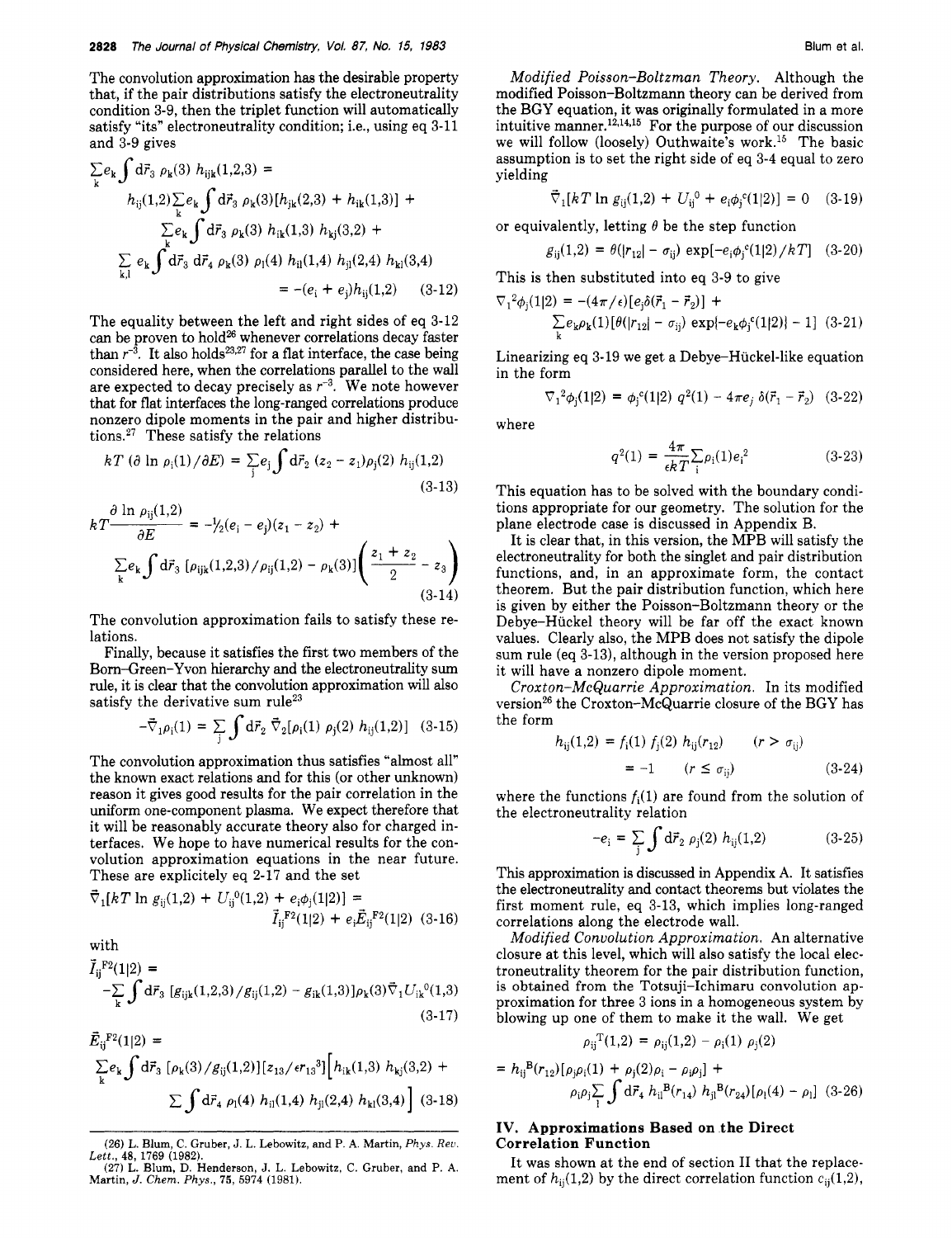The convolution approximation has the desirable property that, if the pair distributions satisfy the electroneutrality condition 3-9, then the triplet function will automatically satisfy "its" electroneutrality condition; i.e., using eq 3-11 and 3-9 gives

$$
\sum_{k} e_{k} \int d\vec{r}_{3} \rho_{k}(3) h_{ijk}(1,2,3) =
$$
\n
$$
h_{ij}(1,2) \sum_{k} e_{k} \int d\vec{r}_{3} \rho_{k}(3) [h_{jk}(2,3) + h_{ik}(1,3)] +
$$
\n
$$
\sum_{k} e_{k} \int d\vec{r}_{3} \rho_{k}(3) h_{ik}(1,3) h_{kj}(3,2) +
$$
\n
$$
\sum_{k,l} e_{k} \int d\vec{r}_{3} d\vec{r}_{4} \rho_{k}(3) \rho_{l}(4) h_{il}(1,4) h_{jl}(2,4) h_{kl}(3,4)
$$
\n
$$
= -(e_{i} + e_{j})h_{ij}(1,2) \qquad (3-12)
$$

The equality between the left and right sides of eq 3-12 can be proven to hold<sup>26</sup> whenever correlations decay faster than  $r^{-3}$ . It also holds<sup>23,27</sup> for a flat interface, the case being considered here, when the correlations parallel to the wall are expected to decay precisely as  $r^{-3}$ . We note however that for flat interfaces the long-ranged correlations produce nonzero dipole moments in the pair and higher distributions.<sup>27</sup> These satisfy the relations

$$
kT (\partial \ln \rho_{\rm i}(1)/\partial E) = \sum_{\rm j} e_{\rm j} \int \mathrm{d}\vec{r}_{\rm 2} (z_2 - z_1) \rho_{\rm j}(2) h_{\rm ij}(1,2) \tag{3-13}
$$

$$
kT \frac{\partial \ln \rho_{ij}(1,2)}{\partial E} = -\frac{1}{2}(e_i - e_j)(z_1 - z_2) +
$$
  
 
$$
\sum_{k} e_k \int d\vec{r}_3 \left[ \rho_{ijk}(1,2,3) / \rho_{ij}(1,2) - \rho_k(3) \right] \left( \frac{z_1 + z_2}{2} - z_3 \right)
$$
  
(3-14)

The convolution approximation fails to satisfy these relations.

Finally, because it satisfies the first two members of the Born-Green-Yvon hierarchy and the electroneutrality sum rule, it is clear that the convolution approximation will also satisfy the derivative sum rule<sup>23</sup>

$$
-\vec{\nabla}_1 \rho_i(1) = \sum_j \int d\vec{r}_2 \, \vec{\nabla}_2 [\rho_i(1) \, \rho_j(2) \, h_{ij}(1,2)] \quad (3-15)
$$

The convolution approximation thus satisfies "almost all" the known exact relations and for this (or other unknown) reason it gives good results for the pair correlation in the uniform one-component plasma. We expect therefore that it will be reasonably accurate theory also for charged interfaces. We hope to have numerical results for the convolution approximation equations in the near future. These are explicitely eq 2-17 and the set

$$
\vec{\nabla}_1[kT \ln g_{ij}(1,2) + U_{ij}^0(1,2) + e_i \phi_j(1|2)] =
$$
  

$$
\vec{I}_{ij}^{\ \ F2}(1|2) + e_i \vec{E}_{ij}^{\ \ F2}(1|2) \quad (3-16)
$$

with

$$
\vec{I}_{ij}^{P2}(1|2) + e_i \vec{E}_{ij}^{P2}(1|2) \quad (3-16)
$$
\nwith\n
$$
\vec{I}_{ij}^{P2}(1|2) + e_i \vec{E}_{ij}^{P2}(1|2) \quad (3-16)
$$
\nwith\n
$$
\vec{I}_{ij}^{P2}(1|2) = -\sum_{k} \int d\vec{r}_3 \left[ g_{ijk}(1,2,3) / g_{ij}(1,2) - g_{ik}(1,3) \right] \rho_k(3) \vec{\nabla}_1 U_{ik}^{0}(1,3) \quad (3-17)
$$

$$
E_{ij}^{F2}(1|2) =
$$
\n
$$
\sum_{k} e_{k} \int d\vec{r}_{3} \left[ \rho_{k}(3) / g_{ij}(1,2) \right] \left[ z_{13} / \epsilon r_{13}^{3} \right] \left[ h_{ik}(1,3) h_{kj}(3,2) + \sum \int d\vec{r}_{4} \rho_{l}(4) h_{il}(1,4) h_{jl}(2,4) h_{kl}(3,4) \right] (3.18)
$$

Modified Poisson-Boltzman Theory. Although the modified Poisson-Boltzmann theory can be derived from the BGY equation, it was originally formulated in a more intuitive manner.<sup>12,14,15</sup> For the purpose of our discussion we will follow (loosely) Outhwaite's work.15 The basic assumption is to set the right side of eq 3-4 equal to zero yielding

$$
\vec{\nabla}_1[kT \ln g_{ij}(1,2) + U_{ij}^0 + e_i \phi_j^c(1|2)] = 0 \quad (3-19)
$$

or equivalently, letting  $\theta$  be the step function

$$
g_{ij}(1,2) = \theta(|r_{12}| - \sigma_{ij}) \, \exp[-e_i \phi_j^{\,c}(1|2) \, / \, k \, T] \quad (3\text{-}20)
$$

This is then substituted into eq 3-9 to give

$$
\nabla_1^2 \phi_j(1|2) = -(4\pi/\epsilon) [e_j \delta(\vec{r}_1 - \vec{r}_2)] +
$$
  
\n
$$
\sum_k e_k \rho_k(1) [\theta(|r_{12}| - \sigma_{ij}) \exp\{-e_k \phi_j^c(1|2)\} - 1]
$$
 (3-21)

Linearizing eq 3-19 we get a Debye-Huckel-like equation in the form

$$
\nabla_1^2 \phi_j(1|2) = \phi_j^c(1|2) q^2(1) - 4\pi e_j \delta(\vec{r}_1 - \vec{r}_2)
$$
 (3-22)

where

$$
q^{2}(1) = \frac{4\pi}{\epsilon k T} \sum_{i} \rho_{i}(1) e_{i}^{2}
$$
 (3-23)

This equation has to be solved with the boundary conditions appropriate for our geometry. The solution for the plane electrode case is discussed in Appendix B.

It is clear that, in this version, the MPB will satisfy the electroneutrality for both the singlet and pair distribution functions, and, in an approximate form, the contact theorem. But the pair distribution function, which here is given by either the Poisson-Boltzmann theory or the Debye-Huckel theory will be far off the exact known values. Clearly also, the MPB does not satisfy the dipole sum rule (eq 3-13), although in the version proposed here it will have a nonzero dipole moment.

Croxton-McQuarrie Approximation. In its modified version<sup>26</sup> the Croxton-McQuarrie closure of the BGY has the form

$$
h_{ij}(1,2) = f_i(1) f_j(2) h_{ij}(r_{12}) \t (r > \sigma_{ij})
$$
  
= -1 (r \le \sigma\_{ij}) (3-24)

where the functions  $f_i(1)$  are found from the solution of the electroneutrality relation

$$
-e_i = \sum_j \int d\vec{r}_2 \; \rho_j(2) \; h_{ij}(1,2) \tag{3-25}
$$

This approximation is discussed in Appendix A. It satisfies the electroneutrality and contact theorems but violates the first moment rule, eq 3-13, which implies long-ranged correlations along the electrode wall.

Modified Convolution Approximation. An alternative closure at this level, which will also satisfy the local electroneutrality theorem for the pair distribution function, is obtained from the Totsuji-Ichimaru convolution approximation for three 3 ions in a homogeneous system by blowing up one of them to make it the wall. We get

$$
\rho_{ij}^{\,T}(1,2)\,=\,\rho_{ij}(1,2)\,-\,\rho_i(1)\,\,\rho_j(2)
$$

$$
= h_{ij}^{B}(r_{12})[\rho_{j}\rho_{i}(1) + \rho_{j}(2)\rho_{i} - \rho_{i}\rho_{j}] +
$$
  

$$
\rho_{i}\rho_{j}\sum_{l} \int d\vec{r}_{4} h_{il}^{B}(r_{14}) h_{jl}^{B}(r_{24})[\rho_{l}(4) - \rho_{l}] (3-26)
$$

# **IV. Approximations Based on the Direct Correlation Function**

It was shown at the end of section I1 that the replacement of  $h_{ii}(1,2)$  by the direct correlation function  $c_{ij}(1,2)$ ,

<sup>(26)</sup> L. Blum, C. Gruber, J. L. Lebowitz, and P. A. Martin, Phys. *Reu.*  (27) L. Blum, D. Henderson, J. L. Lebowitz, C. Gruber, and P. A. *Lett.,* **48,** 1769 (1982).

Martin, *J. Chem. Phys.,* **75,** 5974 (1981).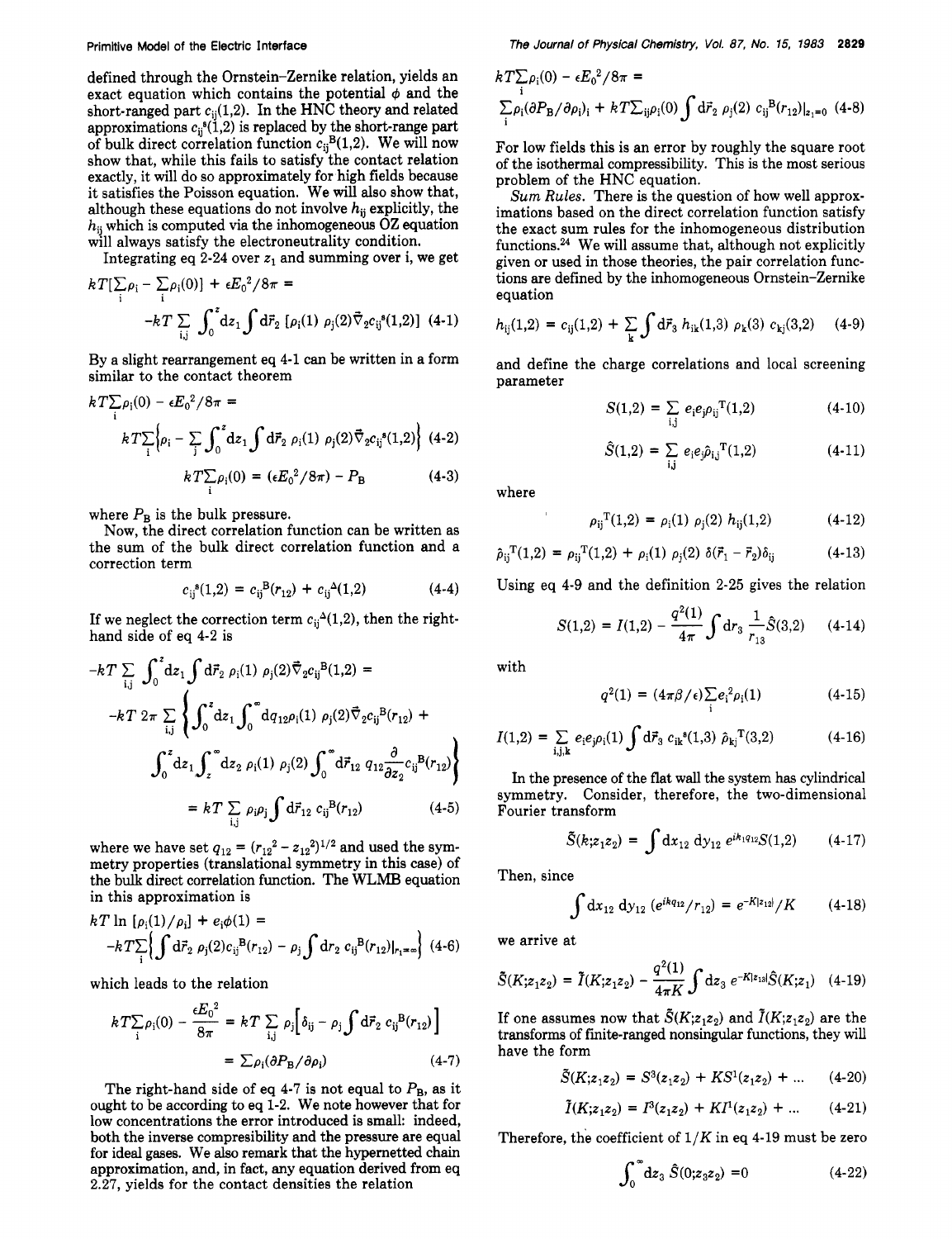defined through the Ornstein-Zernike relation, yields an exact equation which contains the potential  $\phi$  and the short-ranged part  $c_{ii}(1,2)$ . In the HNC theory and related approximations  $c_{ij}^s(1,2)$  is replaced by the short-range part of bulk direct correlation function  $c_{ij}^{B}(1,2)$ . We will now show that, while this fails to satisfy the contact relation exactly, it will do so approximately for high fields because it satisfies the Poisson equation. We will also show that, although these equations do not involve  $h_{ij}$  explicitly, the **hij** which is computed via the inhomogeneous OZ equation will always satisfy the electroneutrality condition.

Integrating eq 2-24 over  $z_1$  and summing over i, we get

$$
k T[\sum_{i} \rho_{i} - \sum_{i} \rho_{i}(0)] + \epsilon E_{0}^{2} / 8\pi =
$$
  
-k T  $\sum_{i,j} \int_{0}^{z} dz_{1} \int d\vec{r}_{2} [\rho_{i}(1) \rho_{j}(2) \vec{\nabla}_{2} c_{ij}^{s}(1,2)]$  (4-1)

By a slight rearrangement eq **4-1** can be written in a form similar to the contact theorem

$$
k T \sum_{i} \rho_{i}(0) - \epsilon E_{0}^{2} / 8\pi =
$$
  
\n
$$
k T \sum_{i} \left\{ \rho_{i} - \sum_{j} \int_{0}^{z} dz_{1} \int d\vec{r}_{2} \rho_{i}(1) \rho_{j}(2) \vec{\nabla}_{2} c_{ij}^{s}(1,2) \right\} (4-2)
$$
  
\n
$$
k T \sum_{i} \rho_{i}(0) = (\epsilon E_{0}^{2} / 8\pi) - P_{B}
$$
 (4-3)

where  $P_{\rm B}$  is the bulk pressure.

Now, the direct correlation function can be written as the sum of the bulk direct correlation function and a correction term

$$
c_{ij}^{s}(1,2) = c_{ij}^{B}(r_{12}) + c_{ij}^{\Delta}(1,2)
$$
 (4-4)

If we neglect the correction term  $c_{ii}^{\Delta}(1,2)$ , then the righthand side of eq **4-2** is

$$
-kT \sum_{i,j} \int_0^2 dz_1 \int d\vec{r}_2 \, \rho_i(1) \, \rho_j(2) \vec{\nabla}_2 c_{ij}^B(1,2) =
$$
  

$$
-kT 2\pi \sum_{i,j} \left\{ \int_0^z dz_1 \int_0^{\infty} dq_{12} \rho_i(1) \, \rho_j(2) \vec{\nabla}_2 c_{ij}^B(r_{12}) + \int_0^z dz_1 \int_z^{\infty} dz_2 \, \rho_i(1) \, \rho_j(2) \int_0^{\infty} d\vec{r}_{12} \, q_{12} \frac{\partial}{\partial z_2} c_{ij}^B(r_{12}) \right\}
$$
  

$$
= kT \sum_{i,j} \rho_i \rho_j \int d\vec{r}_{12} \, c_{ij}^B(r_{12}) \qquad (4-5)
$$

where we have set  $q_{12} = (r_{12}^2 - z_{12}^2)^{1/2}$  and used the symmetry properties (translational symmetry in this case) of the bulk direct correlation function. The **WLMB** equation in this approximation is

$$
kT \ln [\rho_i(1)/\rho_i] + e_i\phi(1) =
$$
  
-kT $\left\{\int d\vec{r}_2 \rho_j(2)c_{ij}^B(r_{12}) - \rho_j \int dr_2 c_{ij}^B(r_{12})|_{r_1=\infty}\right\}$  (4-6)

which leads to the relation

$$
k T \sum_{\mathbf{i}} \rho_{\mathbf{i}}(0) - \frac{\epsilon E_0^2}{8\pi} = k T \sum_{\mathbf{i}, \mathbf{j}} \rho_{\mathbf{j}} \left[ \delta_{\mathbf{i}\mathbf{j}} - \rho_{\mathbf{j}} \int d\vec{r}_2 \ c_{\mathbf{i}\mathbf{j}}^{\mathbf{B}}(r_{12}) \right]
$$

$$
= \sum \rho_{\mathbf{i}} (\partial P_{\mathbf{B}} / \partial \rho_{\mathbf{i}}) \qquad (4-7)
$$

The right-hand side of eq  $4-7$  is not equal to  $P_{\rm B}$ , as it ought to be according **to** eq **1-2.** We note however that for low concentrations the error introduced is small: indeed, both the inverse compresibility and the pressure are equal for ideal gases. We **also** remark that the hypernetted chain approximation, and, in fact, any equation derived from eq **2.27,** yields for the contact densities the relation

$$
kT\sum_{i} \rho_{i}(0) - \epsilon E_{0}^{2}/8\pi =
$$
  

$$
\sum_{i} \rho_{i} (\partial P_{B} / \partial \rho_{i})_{i} + kT\sum_{ij} \rho_{i}(0) \int d\vec{r}_{2} \rho_{j}(2) c_{ij}^{B} (r_{12})|_{z_{1}=0} (4-8)
$$

For low fields this is an error by roughly the square root of the isothermal compressibility. This is the most serious problem of the HNC equation.

*Sum Rules.* There is the question of how well approximations based on the direct correlation function satisfy the exact sum rules for the inhomogeneous distribution functions.24 We will assume that, although not explicitly given or used in those theories, the pair correlation functions are defined by the inhomogeneous Ornstein-Zernike equation

$$
h_{ij}(1,2) = c_{ij}(1,2) + \sum_{k} \int d\vec{r}_3 \ h_{ik}(1,3) \ \rho_k(3) \ c_{kj}(3,2) \quad (4-9)
$$

and define the charge correlations and local screening parameter

$$
S(1,2) = \sum_{i,j} e_i e_j \rho_{ij}^{T}(1,2) \qquad (4-10)
$$

$$
\hat{S}(1,2) = \sum_{i,j} e_i e_j \hat{\rho}_{i,j}^{\ \ T}(1,2) \tag{4-11}
$$

where

$$
\rho_{ij}^{T}(1,2) = \rho_i(1) \rho_j(2) h_{ij}(1,2) \qquad (4-12)
$$

$$
\hat{\rho}_{ij}^{T}(1,2) = \rho_{ij}^{T}(1,2) + \rho_{i}(1) \rho_{j}(2) \delta(\vec{r}_{1} - \vec{r}_{2}) \delta_{ij}
$$
(4-13)

Using eq **4-9** and the definition **2-25** gives the relation

$$
= \rho_{ij}^{T}(1,2) + \rho_{i}(1) \rho_{j}(2) \delta(\vec{r}_{1} - \vec{r}_{2})\delta_{ij}
$$
 (4-13)  
4-9 and the definition 2-25 gives the relation  

$$
S(1,2) = I(1,2) - \frac{q^{2}(1)}{4\pi} \int dr_{3} \frac{1}{r_{13}} \hat{S}(3,2)
$$
 (4-14)

with

$$
q^{2}(1) = (4\pi\beta/\epsilon) \sum_{i} e_{i}^{2} \rho_{i}(1)
$$
 (4-15)

$$
I(1,2) = \sum_{i,j,k} e_i e_j \rho_i(1) \int d\vec{r}_3 \ c_{ik}^{s}(1,3) \ \hat{\rho}_{kj}^{T}(3,2) \tag{4-16}
$$

In the presence of the flat wall the system **has** cylindrical symmetry. Consider, therefore, the two-dimensional Fourier transform

$$
\tilde{S}(k; z_1 z_2) = \int dx_{12} dy_{12} e^{ik_1 q_{12}} S(1,2) \qquad (4-17)
$$

Then, since

$$
\int dx_{12} dy_{12} (e^{ikq_{12}}/r_{12}) = e^{-K|z_{12}|}/K \qquad (4-18)
$$

we arrive at

$$
\int dx_{12} dy_{12} (e^{ikq_{12}}/r_{12}) = e^{-K|z_{12}|}/K \qquad (4-18)
$$
  
we arrive at  

$$
\tilde{S}(K; z_1 z_2) = \tilde{I}(K; z_1 z_2) - \frac{q^2(1)}{4\pi K} \int dz_3 e^{-K|z_{13}|} \hat{S}(K; z_1) \quad (4-19)
$$

If one assumes now that  $\tilde{S}(K; z_1z_2)$  and  $\tilde{I}(K; z_1z_2)$  are the transforms of finite-ranged nonsingular functions, they will have the form

$$
\tilde{S}(K; z_1 z_2) = S^3(z_1 z_2) + K S^1(z_1 z_2) + \dots \qquad (4-20)
$$

$$
\tilde{I}(K; z_1 z_2) = I^3(z_1 z_2) + K I^1(z_1 z_2) + \dots \qquad (4-21)
$$

Therefore, the coefficient of **1/K** in eq **4-19** must be zero

$$
\int_0^\infty dz_3 \ \hat{S}(0; z_3 z_2) = 0 \tag{4-22}
$$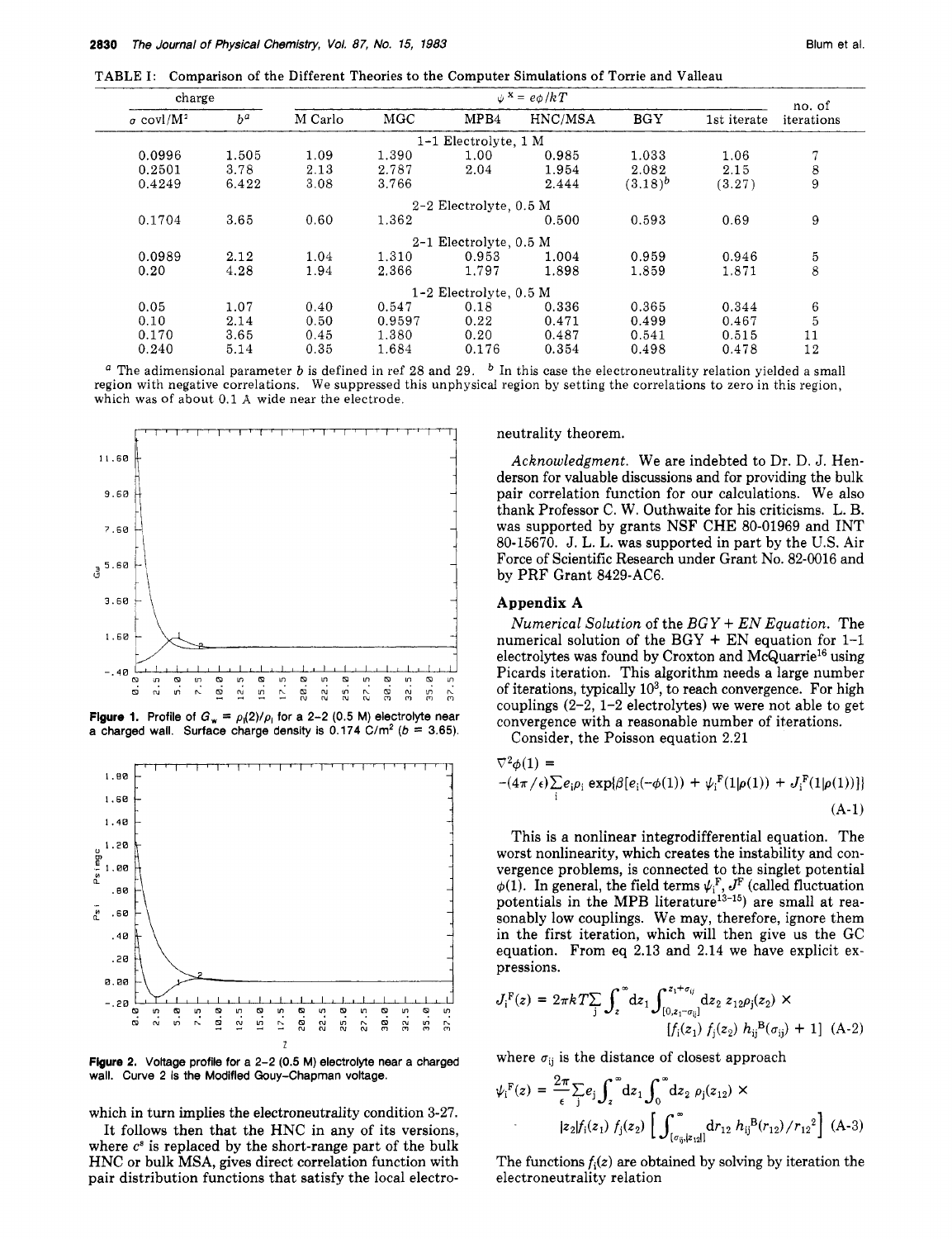TABLE **I:** Comparison of the Different Theories to the Computer Simulations **of** Torrie and Valleau

| charge                                                                                                                                                                                                                    |                                                 | $\psi^{\mathbf{x}} = e \phi / kT$   |                              |                            |                                                                                                                                                                                                                                                                                                                                                                                                                                                                                             |              | no. of      |                  |
|---------------------------------------------------------------------------------------------------------------------------------------------------------------------------------------------------------------------------|-------------------------------------------------|-------------------------------------|------------------------------|----------------------------|---------------------------------------------------------------------------------------------------------------------------------------------------------------------------------------------------------------------------------------------------------------------------------------------------------------------------------------------------------------------------------------------------------------------------------------------------------------------------------------------|--------------|-------------|------------------|
| $\sigma$ covl/M <sup>2</sup>                                                                                                                                                                                              | $b^a$                                           | M Carlo                             | MGC                          | MPB4                       | HNC/MSA                                                                                                                                                                                                                                                                                                                                                                                                                                                                                     | BGY          | 1st iterate | iterations       |
|                                                                                                                                                                                                                           |                                                 |                                     |                              | 1-1 Electrolyte, 1 M       |                                                                                                                                                                                                                                                                                                                                                                                                                                                                                             |              |             |                  |
| 0.0996                                                                                                                                                                                                                    | 1.505                                           | 1.09                                | 1.390                        | 1.00                       | 0.985                                                                                                                                                                                                                                                                                                                                                                                                                                                                                       | 1.033        | 1.06        | $\tau$           |
| 0.2501                                                                                                                                                                                                                    | 3.78                                            | 2.13                                | 2.787                        | 2.04                       | 1.954                                                                                                                                                                                                                                                                                                                                                                                                                                                                                       | 2.082        | 2.15        | 8                |
| 0.4249                                                                                                                                                                                                                    | 6.422                                           | 3.08                                | 3.766                        |                            | 2.444                                                                                                                                                                                                                                                                                                                                                                                                                                                                                       | $(3.18)^{b}$ | (3.27)      | 9                |
|                                                                                                                                                                                                                           |                                                 |                                     |                              | $2-2$ Electrolyte, $0.5$ M |                                                                                                                                                                                                                                                                                                                                                                                                                                                                                             |              |             |                  |
| 0.1704                                                                                                                                                                                                                    | 3.65                                            | 0.60                                | 1.362                        |                            | 0.500                                                                                                                                                                                                                                                                                                                                                                                                                                                                                       | 0.593        | 0.69        | $\boldsymbol{9}$ |
|                                                                                                                                                                                                                           |                                                 |                                     |                              | 2-1 Electrolyte, 0.5 M     |                                                                                                                                                                                                                                                                                                                                                                                                                                                                                             |              |             |                  |
| 0.0989                                                                                                                                                                                                                    | 2.12                                            | 1.04                                | 1.310                        | 0.953                      | 1.004                                                                                                                                                                                                                                                                                                                                                                                                                                                                                       | 0.959        | 0.946       | 5                |
| 0.20                                                                                                                                                                                                                      | 4.28                                            | 1.94                                | 2.366                        | 1.797                      | 1.898                                                                                                                                                                                                                                                                                                                                                                                                                                                                                       | 1.859        | 1.871       | 8                |
|                                                                                                                                                                                                                           |                                                 |                                     |                              | $1-2$ Electrolyte, 0.5 M   |                                                                                                                                                                                                                                                                                                                                                                                                                                                                                             |              |             |                  |
| 0.05                                                                                                                                                                                                                      | 1.07                                            | 0.40                                | 0.547                        | 0.18                       | 0.336                                                                                                                                                                                                                                                                                                                                                                                                                                                                                       | 0.365        | 0.344       | 6                |
| 0.10                                                                                                                                                                                                                      | 2.14                                            | 0.50                                | 0.9597                       | 0.22                       | 0.471                                                                                                                                                                                                                                                                                                                                                                                                                                                                                       | 0.499        | 0.467       | 5                |
| 0.170                                                                                                                                                                                                                     | 3.65                                            | 0.45                                | 1.380                        | 0.20                       | 0.487                                                                                                                                                                                                                                                                                                                                                                                                                                                                                       | 0.541        | 0.515       | 11               |
| 0.240                                                                                                                                                                                                                     | 5.14                                            | 0.35                                | 1.684                        | 0.176                      | 0.354                                                                                                                                                                                                                                                                                                                                                                                                                                                                                       | 0.498        | 0.478       | 12               |
| 9.60<br>7.60<br>a 5.60                                                                                                                                                                                                    |                                                 |                                     |                              |                            | derson for valuable discussions and for providing the bulk<br>pair correlation function for our calculations. We also<br>thank Professor C. W. Outhwaite for his criticisms. L. B.<br>was supported by grants NSF CHE 80-01969 and INT<br>80-15670. J. L. L. was supported in part by the U.S. Air<br>Force of Scientific Research under Grant No. 82-0016 and<br>by PRF Grant 8429-AC6.                                                                                                    |              |             |                  |
| 3.60<br>1,60<br>-.40<br>ø<br>a<br>G<br>7.5<br><b>Figure 1.</b> Profile of $G_w = \rho_1(2)/\rho_1$ for a 2-2 (0.5 M) electrolyte near<br>a charged wall. Surface charge density is 0.174 C/m <sup>2</sup> ( $b = 3.65$ ). | $\overline{a}$ . $\overline{a}$<br>12.5<br>15.0 | 17.5<br>20.0<br>22.5<br><b>25.0</b> | ā<br>30. B<br>27<br>3S<br>ΩĽ | 'n,<br>്റ                  | Appendix A<br>Numerical Solution of the $BGY + EN Equation$ . The<br>numerical solution of the $BGY + EN$ equation for 1-1<br>electrolytes was found by Croxton and McQuarrie <sup>16</sup> using<br>Picards iteration. This algorithm needs a large number<br>of iterations, typically $103$ , to reach convergence. For high<br>couplings $(2-2, 1-2$ electrolytes) we were not able to get<br>convergence with a reasonable number of iterations.<br>Consider, the Poisson equation 2.21 |              |             |                  |
|                                                                                                                                                                                                                           |                                                 |                                     |                              |                            | $\nabla^2 \phi(1) =$                                                                                                                                                                                                                                                                                                                                                                                                                                                                        |              |             |                  |
| 1,80                                                                                                                                                                                                                      |                                                 |                                     |                              |                            | $-(4\pi/\epsilon)\sum_i e_i\rho_i\exp\{\beta[e_i(-\phi(1))+\psi_i^{\rm F}(1 \rho(1))+J_i^{\rm F}(1 \rho(1))]\}$                                                                                                                                                                                                                                                                                                                                                                             |              |             |                  |
| 1.60                                                                                                                                                                                                                      |                                                 |                                     |                              |                            |                                                                                                                                                                                                                                                                                                                                                                                                                                                                                             |              |             | $(A-1)$          |
| 1.40                                                                                                                                                                                                                      |                                                 |                                     |                              |                            |                                                                                                                                                                                                                                                                                                                                                                                                                                                                                             |              |             |                  |
| $0^{1.20}$                                                                                                                                                                                                                |                                                 |                                     |                              |                            | This is a nonlinear integrodifferential equation. The<br>$\alpha$ and $\alpha$ and $\alpha$ and $\alpha$ and $\alpha$ and $\alpha$ and $\alpha$ and $\alpha$ and $\alpha$ and $\alpha$ and $\alpha$ and $\alpha$ and $\alpha$ and $\alpha$ and $\alpha$ and $\alpha$ and $\alpha$ and $\alpha$ and $\alpha$ and $\alpha$ and $\alpha$ and $\alpha$ and $\alpha$ and $\alpha$ and $\alpha$                                                                                                   |              |             |                  |



**Figure 1.** Profile of  $G_w = \rho_1(2)/\rho_1$  for a 2-2 (0.5 M) electrolyte near **a** charged wall. Surface charge density is  $0.174 \text{ C/m}^2$  ( $b = 3.65$ ).



**Figure 2. Voltage profile for a 2-2 (0.5 M) electrolyte near a charged**  wall. Curve 2 is the Modifled Gouy-Chapman voltage.

which in turn implies the electroneutrality condition 3-27.

It follows then that the HNC in any of its versions, where  $c^s$  is replaced by the short-range part of the bulk HNC or bulk MSA, gives direct correlation function with pair distribution functions that satisfy the local electro-

#### neutrality theorem.

# **Appendix A**

$$
\nabla^2 \phi(1) = - (4\pi/\epsilon) \sum_{i} e_i \rho_i \exp\{\beta [e_i(-\phi(1)) + \psi_i^{\mathbf{F}}(1|\rho(1)) + J_i^{\mathbf{F}}(1|\rho(1))]\}
$$
\n(A-1)

This is a nonlinear integrodifferential equation. The worst nonlinearity, which creates the instability and convergence problems, is connected to the singlet potential  $\phi(1)$ . In general, the field terms  $\psi_i^F, J^F$  (called fluctuation potentials in the MPB literature<sup>13-15</sup>) are small at reasonably low couplings. We may, therefore, ignore them in the first iteration, which will then give us the GC equation. From eq 2.13 and 2.14 we have explicit expressions.

$$
J_i^{\mathbf{F}}(z) = 2\pi k T \sum_j \int_z^{\infty} dz_1 \int_{[0, z_1 - \sigma_{ij}]}^{z_1 + \sigma_{ij}} dz_2 \ z_{12} \rho_j(z_2) \times
$$
  
\n
$$
[f_i(z_1) \ f_j(z_2) \ h_{ij}^{\mathbf{B}}(\sigma_{ij}) + 1] \ (A-2)
$$

where  $\sigma_{ii}$  is the distance of closest approach

$$
\psi_{i}^{F}(z) = \frac{2\pi}{\epsilon} \sum_{j} e_{j} \int_{z}^{\infty} dz_{1} \int_{0}^{\infty} dz_{2} \rho_{j}(z_{12}) \times
$$
\n
$$
|z_{2}| f_{i}(z_{1}) \ f_{j}(z_{2}) \left[ \int_{(\sigma_{ij}, |z_{12}|)}^{\infty} dr_{12} \ h_{ij}^{B}(r_{12}) / r_{12}^{2} \right] (A-3)
$$

The functions  $f_i(z)$  are obtained by solving by iteration the electroneutrality relation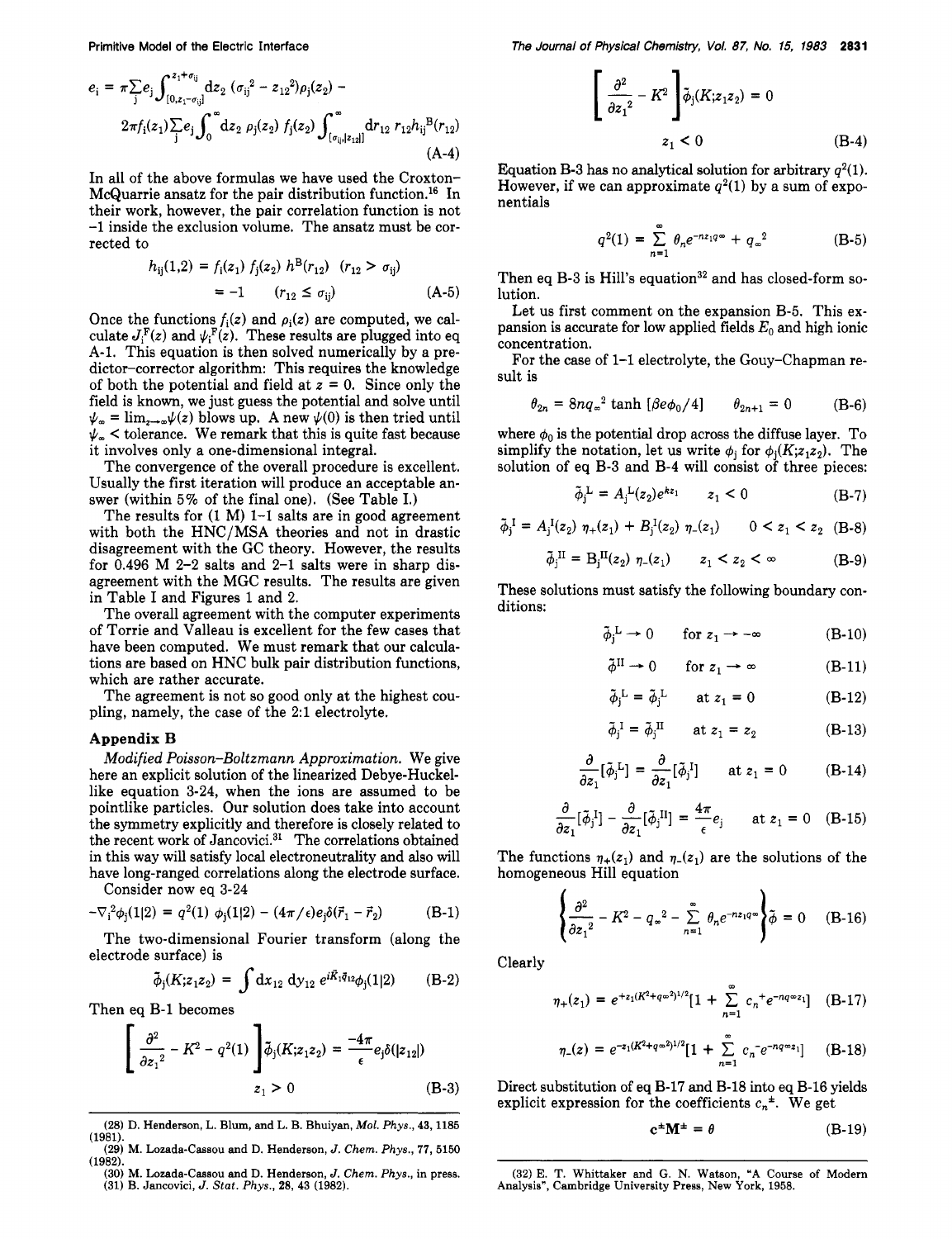$$
e_{i} = \pi \sum_{j} e_{j} \int_{[0, z_{1} - \sigma_{ij}]}^{z_{1} + \sigma_{ij}} dz_{2} (\sigma_{ij}^{2} - z_{12}^{2}) \rho_{j}(z_{2}) - 2\pi f_{i}(z_{1}) \sum_{j} e_{j} \int_{0}^{\infty} dz_{2} \rho_{j}(z_{2}) f_{j}(z_{2}) \int_{[\sigma_{ij},]z_{12}]}^{\infty} dr_{12} r_{12} h_{ij}^{B}(r_{12})
$$
\n(A-4)

In all of the above formulas we have used the Croxton-McQuarrie ansatz for the pair distribution function.<sup>16</sup> In their work, however, the pair correlation function is not **-1** inside the exclusion volume. The ansatz must be corrected to

$$
h_{ij}(1,2) = f_i(z_1) f_j(z_2) h^{B}(r_{12}) (r_{12} > \sigma_{ij})
$$
  
= -1  $(r_{12} \le \sigma_{ij})$  (A-5)

Once the functions  $f_i(z)$  and  $\rho_i(z)$  are computed, we calculate  $J_i^F(z)$  and  $\psi_i^F(z)$ . These results are plugged into eq A-1. This equation is then solved numerically by a predictor-corrector algorithm: This requires the knowledge of both the potential and field at *z* = 0. Since only the field is known, we just guess the potential and solve until  $\psi_{\infty} = \lim_{z \to \infty} \psi(z)$  blows up. A new  $\psi(0)$  is then tried until  $\psi_{\infty}$  < tolerance. We remark that this is quite fast because it involves only a one-dimensional integral.

The convergence of the overall procedure is excellent. Usually the first iteration will produce an acceptable answer (within 5% of the final one). (See Table I.)

The results for **(1** M) **1-1** salts are in good agreement with both the HNC/MSA theories and not in drastic disagreement with the GC theory. However, the results for **0.496** M **2-2** salts and **2-1** salts were in sharp disagreement with the MGC results. The results are given in Table I and Figures **1** and **2.** 

The overall agreement with the computer experiments of Torrie and Valleau is excellent for the few cases that have been computed. We must remark that our calculations are based on HNC bulk pair distribution functions, which are rather accurate.

The agreement is not so good only at the highest coupling, namely, the case of the **2:l** electrolyte.

## **Appendix B**

Modified Poisson-Boltzmann Approximation. We give here an explicit solution of the linearized Debye-Huckellike equation **3-24,** when the ions are assumed to be pointlike particles. Our solution does take into account the symmetry explicitly and therefore is closely related to the recent work of Jancovici. $31$  The correlations obtained in this way will satisfy local electroneutrality and also will have long-ranged correlations along the electrode surface.

Consider now eq **3-24** 

$$
-\nabla_i^2 \phi_j(1|2) = q^2(1) \phi_j(1|2) - (4\pi/\epsilon) e_j \delta(\vec{r}_1 - \vec{r}_2)
$$
 (B-1)

The two-dimensional Fourier transform (along the electrode surface) is

$$
\tilde{\phi}_j(K; z_1 z_2) = \int dx_{12} dy_{12} e^{i \vec{K}_1 \vec{q}_{12}} \phi_j(1|2)
$$
 (B-2)

Then eq **B-1** becomes

$$
\left[\frac{\partial^2}{\partial z_1^2} - K^2 - q^2(1)\right] \tilde{\phi}_j(K; z_1 z_2) = \frac{-4\pi}{\epsilon} e_j \delta(|z_{12}|)
$$
  
  $z_1 > 0$  (B-3)

$$
\left[\frac{\partial^2}{\partial z_1^2} - K^2\right] \tilde{\phi}_j(K; z_1 z_2) = 0
$$
  
  $z_1 < 0$  (B-4)

Equation **B-3** has no analytical solution for arbitrary  $q^2(1)$ . However, if we can approximate  $q^2(1)$  by a sum of exponentials

$$
q^{2}(1) = \sum_{n=1}^{\infty} \theta_{n} e^{-nz_{1}q\omega} + q_{\omega}^{2}
$$
 (B-5)

Then eq B-3 is Hill's equation<sup>32</sup> and has closed-form solution.

Let us first comment on the expansion **B-5.** This expansion is accurate for low applied fields *Eo* and high ionic concentration.

For the case of **1-1** electrolyte, the Gouy-Chapman result is

$$
\theta_{2n} = 8nq_{\infty}^2 \tanh \left[ \beta e \phi_0 / 4 \right]
$$
  $\theta_{2n+1} = 0$  (B-6)

where  $\phi_0$  is the potential drop across the diffuse layer. To simplify the notation, let us write  $\phi_i$  for  $\phi_i(K; z_1 z_2)$ . The solution of eq **B-3** and **B-4** will consist of three pieces:

$$
\tilde{\phi}_{j}^{L} = A_{j}^{L}(z_{2})e^{kz_{1}} \qquad z_{1} < 0 \tag{B-7}
$$

$$
\tilde{\phi}_j^I = A_j^I(z_2) \eta_+(z_1) + B_j^I(z_2) \eta_-(z_1) \qquad 0 < z_1 < z_2 \quad (B-8)
$$

$$
\tilde{\phi}_{j}^{II} = B_{j}^{II}(z_{2}) \eta_{-}(z_{1}) \qquad z_{1} < z_{2} < \infty \qquad (B-9)
$$

These solutions must satisfy the following boundary conditions:

$$
\tilde{\phi}_j^L \to 0 \qquad \text{for } z_1 \to -\infty \tag{B-10}
$$

$$
\phi_j^{\mathsf{L}} \to 0 \qquad \text{for } z_1 \to -\infty \tag{B-10}
$$
  

$$
\tilde{\phi}^{\mathsf{II}} \to 0 \qquad \text{for } z_1 \to \infty \tag{B-11}
$$

$$
\tilde{\phi}_{j}^{\mathrm{L}} = \tilde{\phi}_{j}^{\mathrm{L}} \qquad \text{at } z_{1} = 0 \tag{B-12}
$$

$$
\tilde{\phi}_j^I = \tilde{\phi}_j^H \qquad \text{at } z_1 = z_2 \tag{B-13}
$$

$$
\frac{\partial}{\partial z_1} [\tilde{\phi}_j^{\rm L}] = \frac{\partial}{\partial z_1} [\tilde{\phi}_j^{\rm I}] \qquad \text{at } z_1 = 0 \tag{B-14}
$$

$$
\frac{\partial}{\partial z_1}[\tilde{\phi}_j^I] - \frac{\partial}{\partial z_1}[\tilde{\phi}_j^{II}] = \frac{4\pi}{\epsilon}e_j \quad \text{at } z_1 = 0 \quad \text{(B-15)}
$$

The functions  $\eta_+(z_1)$  and  $\eta_-(z_1)$  are the solutions of the homogeneous Hill equation

$$
\left\{\frac{\partial^2}{\partial z_1^2} - K^2 - q_\infty^2 - \sum_{n=1}^\infty \theta_n e^{-nz_1q\infty}\right\}\tilde{\phi} = 0 \quad (B-16)
$$

Clearly

$$
\eta_{+}(z_{1}) = e^{+z_{1}(K^{2}+q\varpi^{2})^{1/2}}[1+\sum_{n=1}^{\infty} c_{n}^{+}e^{-nq\varpi z_{1}}] \quad (B-17)
$$

$$
\eta_{-}(z) = e^{-z_1(K^2 + q\infty^2)^{1/2}} [1 + \sum_{n=1}^{\infty} c_n e^{-nq\infty z_1}] \qquad (B-18)
$$

Direct substitution of eq **B-17** and **B-18** into eq **B-16** yields explicit expression for the coefficients  $c_n^{\pm}$ . We get

$$
\mathbf{c}^{\pm}\mathbf{M}^{\pm} = \theta \tag{B-19}
$$

**<sup>(28)</sup> D. Henderson, L. Blum, and L. B. Bhuiyan,** *Mol. Phys.,* **43,1185 (29) M. Lozada-Cassou and** D. **Henderson,** *J. Chem. Phys.,* **77,5150 (1981).** 

**<sup>(30)</sup> M. Lozada-Cassou and** D. **Henderson,** *J. Chem. Phys.,* **in press. (1982).** 

**<sup>(31)</sup> B. Jancovici,** *J. Stat. Phys.,* **28, 43 (1982).** 

**<sup>(32)</sup> E. T. Whittaker and G. N. Watson, "A Course of Modern Analysis", Cambridge University Press, New York, 1958.**